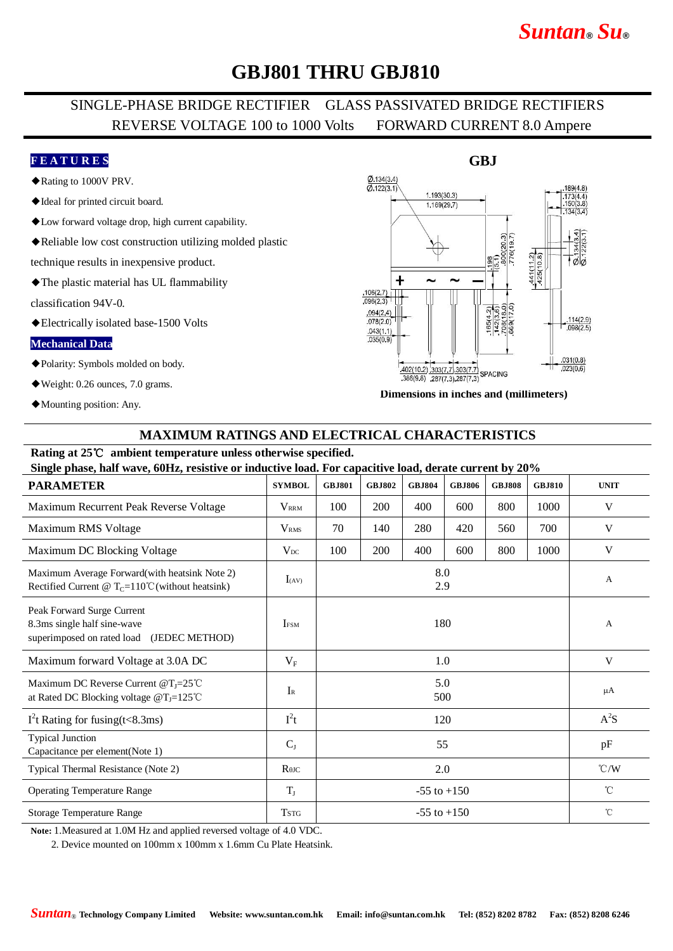# *Suntan***®** *Su***®**

### **GBJ801 THRU GBJ810**

### SINGLE-PHASE BRIDGE RECTIFIER GLASS PASSIVATED BRIDGE RECTIFIERS REVERSE VOLTAGE 100 to 1000 Volts FORWARD CURRENT 8.0 Ampere

#### **F E A T U R E S**

- ◆Rating to 1000V PRV.
- ◆Ideal for printed circuit board.
- ◆Low forward voltage drop, high current capability.
- ◆Reliable low cost construction utilizing molded plastic

technique results in inexpensive product.

◆The plastic material has UL flammability

classification 94V-0.

◆Electrically isolated base-1500 Volts

#### **Mechanical Data**

- ◆Polarity: Symbols molded on body.
- ◆Weight: 0.26 ounces, 7.0 grams.
- ◆Mounting position: Any.



**Dimensions in inches and (millimeters)**

#### **MAXIMUM RATINGS AND ELECTRICAL CHARACTERISTICS**

#### **Rating at 25**℃ **ambient temperature unless otherwise specified.**

| Single phase, half wave, 60Hz, resistive or inductive load. For capacitive load, derate current by 20%        |                         |                 |               |               |               |               |               |               |
|---------------------------------------------------------------------------------------------------------------|-------------------------|-----------------|---------------|---------------|---------------|---------------|---------------|---------------|
| <b>PARAMETER</b>                                                                                              | <b>SYMBOL</b>           | <b>GBJ801</b>   | <b>GBJ802</b> | <b>GBJ804</b> | <b>GBJ806</b> | <b>GBJ808</b> | <b>GBJ810</b> | <b>UNIT</b>   |
| Maximum Recurrent Peak Reverse Voltage                                                                        | <b>VRRM</b>             | 100             | 200           | 400           | 600           | 800           | 1000          | V             |
| Maximum RMS Voltage                                                                                           | <b>V</b> <sub>RMS</sub> | 70              | 140           | 280           | 420           | 560           | 700           | V             |
| Maximum DC Blocking Voltage                                                                                   | $V_{DC}$                | 100             | 200           | 400           | 600           | 800           | 1000          | V             |
| Maximum Average Forward(with heatsink Note 2)<br>Rectified Current @ $T_c = 110^{\circ}$ C (without heatsink) | $I_{(AV)}$              | 8.0<br>2.9      |               |               |               |               |               | A             |
| Peak Forward Surge Current<br>8.3ms single half sine-wave<br>superimposed on rated load<br>(JEDEC METHOD)     | <b>IFSM</b>             | 180             |               |               |               |               |               | A             |
| Maximum forward Voltage at 3.0A DC                                                                            | $V_{\rm F}$             | 1.0             |               |               |               |               |               | V             |
| Maximum DC Reverse Current $@T_J=25^{\circ}$ C<br>at Rated DC Blocking voltage $@T_J=125°C$                   | $I_{R}$                 | 5.0<br>500      |               |               |               |               |               | $\mu A$       |
| $I2t$ Rating for fusing(t<8.3ms)                                                                              | $I^2t$                  | 120             |               |               |               |               |               | $A^2S$        |
| <b>Typical Junction</b><br>Capacitance per element(Note 1)                                                    | $C_{J}$                 | 55              |               |               |               |               |               | pF            |
| Typical Thermal Resistance (Note 2)                                                                           | $R$ $\theta$ JC         | 2.0             |               |               |               |               |               | $\degree$ C/W |
| <b>Operating Temperature Range</b>                                                                            | $T_{J}$                 | $-55$ to $+150$ |               |               |               |               |               | $^{\circ}$ C  |
| <b>Storage Temperature Range</b>                                                                              | <b>TSTG</b>             | $-55$ to $+150$ |               |               |               |               |               | $^{\circ}$ C  |

**Note:** 1.Measured at 1.0M Hz and applied reversed voltage of 4.0 VDC.

2. Device mounted on 100mm x 100mm x 1.6mm Cu Plate Heatsink.

### **GBJ**